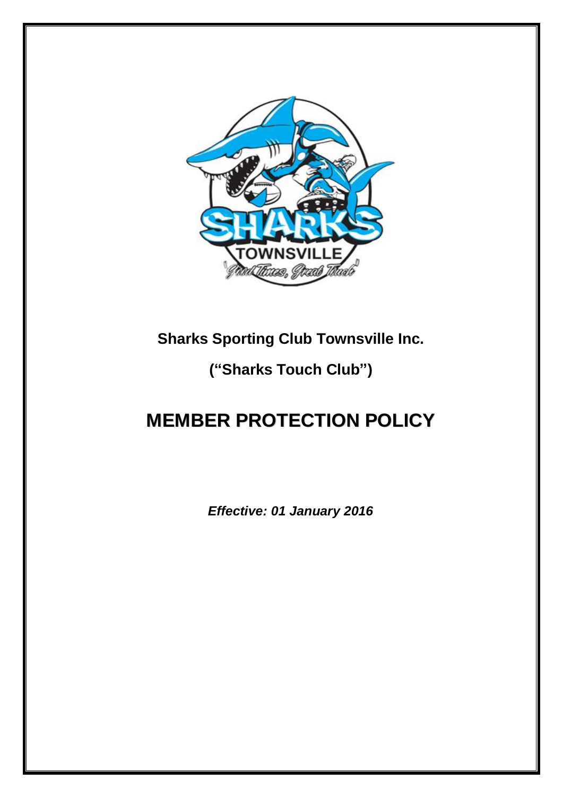

## **Sharks Sporting Club Townsville Inc.**

## **("Sharks Touch Club")**

# **MEMBER PROTECTION POLICY**

*Effective: 01 January 2016*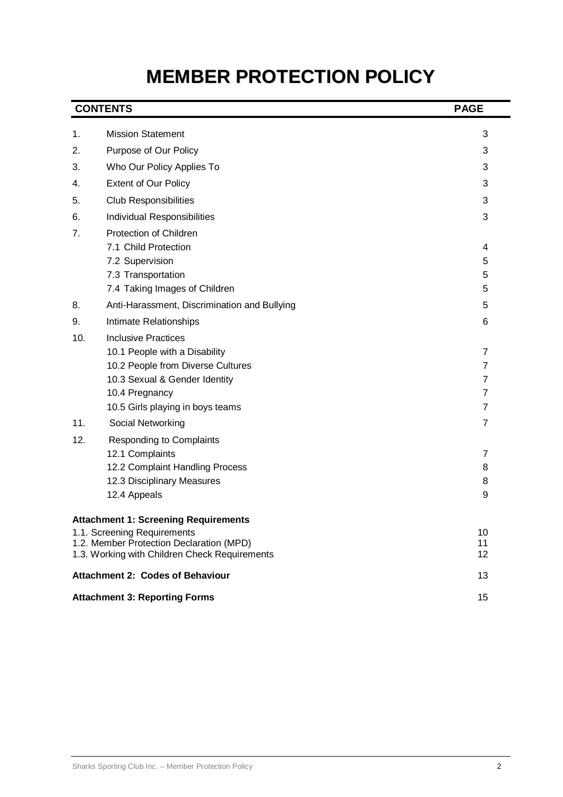# **MEMBER PROTECTION POLICY**

|     | <b>CONTENTS</b>                                                                           | <b>PAGE</b>         |
|-----|-------------------------------------------------------------------------------------------|---------------------|
| 1.  | <b>Mission Statement</b>                                                                  | 3                   |
| 2.  | Purpose of Our Policy                                                                     | 3                   |
| 3.  | Who Our Policy Applies To                                                                 | 3                   |
| 4.  | <b>Extent of Our Policy</b>                                                               | 3                   |
| 5.  | <b>Club Responsibilities</b>                                                              | 3                   |
| 6.  | Individual Responsibilities                                                               | 3                   |
| 7.  | Protection of Children                                                                    |                     |
|     | 7.1 Child Protection                                                                      | 4                   |
|     | 7.2 Supervision                                                                           | 5                   |
|     | 7.3 Transportation                                                                        | 5                   |
|     | 7.4 Taking Images of Children                                                             | 5                   |
| 8.  | Anti-Harassment, Discrimination and Bullying                                              | 5                   |
| 9.  | Intimate Relationships                                                                    | 6                   |
| 10. | <b>Inclusive Practices</b>                                                                |                     |
|     | 10.1 People with a Disability                                                             | 7                   |
|     | 10.2 People from Diverse Cultures                                                         | $\overline{7}$      |
|     | 10.3 Sexual & Gender Identity<br>10.4 Pregnancy                                           | 7<br>$\overline{7}$ |
|     | 10.5 Girls playing in boys teams                                                          | $\overline{7}$      |
| 11. | Social Networking                                                                         | $\overline{7}$      |
| 12. | <b>Responding to Complaints</b>                                                           |                     |
|     | 12.1 Complaints                                                                           | 7                   |
|     | 12.2 Complaint Handling Process                                                           | 8                   |
|     | 12.3 Disciplinary Measures                                                                | 8                   |
|     | 12.4 Appeals                                                                              | 9                   |
|     | <b>Attachment 1: Screening Requirements</b>                                               |                     |
|     | 1.1. Screening Requirements                                                               | 10                  |
|     | 1.2. Member Protection Declaration (MPD)<br>1.3. Working with Children Check Requirements | 11<br>12            |
|     | <b>Attachment 2: Codes of Behaviour</b>                                                   | 13                  |
|     | <b>Attachment 3: Reporting Forms</b>                                                      | 15                  |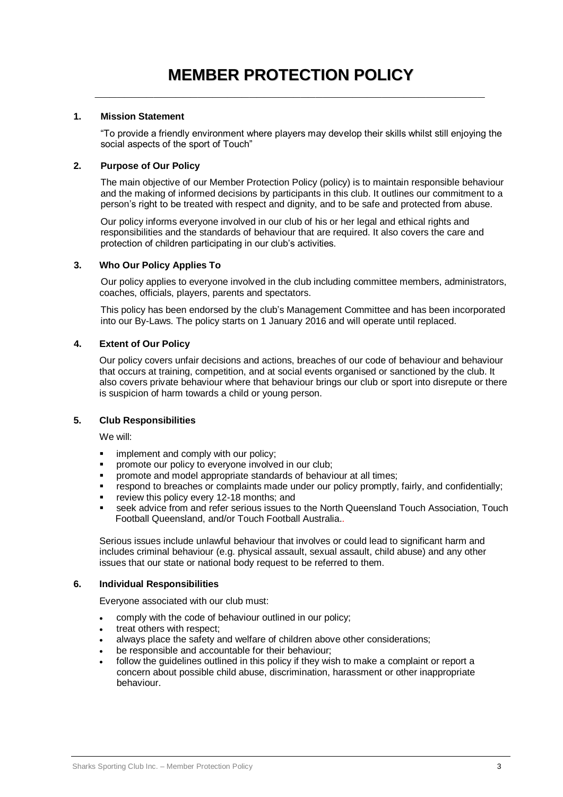#### **1. Mission Statement**

"To provide a friendly environment where players may develop their skills whilst still enjoying the social aspects of the sport of Touch"

#### **2. Purpose of Our Policy**

The main objective of our Member Protection Policy (policy) is to maintain responsible behaviour and the making of informed decisions by participants in this club. It outlines our commitment to a person's right to be treated with respect and dignity, and to be safe and protected from abuse.

Our policy informs everyone involved in our club of his or her legal and ethical rights and responsibilities and the standards of behaviour that are required. It also covers the care and protection of children participating in our club's activities.

#### **3. Who Our Policy Applies To**

Our policy applies to everyone involved in the club including committee members, administrators, coaches, officials, players, parents and spectators.

This policy has been endorsed by the club's Management Committee and has been incorporated into our By-Laws. The policy starts on 1 January 2016 and will operate until replaced.

#### **4. Extent of Our Policy**

Our policy covers unfair decisions and actions, breaches of our code of behaviour and behaviour that occurs at training, competition, and at social events organised or sanctioned by the club. It also covers private behaviour where that behaviour brings our club or sport into disrepute or there is suspicion of harm towards a child or young person.

#### **5. Club Responsibilities**

We will:

- **implement and comply with our policy;**
- **PEDIED FIND THE VIOLET CONTROVED IN STATE IN STATE IN STATE IN STATE IN STATE IN STATE IN STATE IN STATE IN ST**
- **•** promote and model appropriate standards of behaviour at all times:
- respond to breaches or complaints made under our policy promptly, fairly, and confidentially;
- review this policy every 12-18 months; and
- seek advice from and refer serious issues to the North Queensland Touch Association, Touch Football Queensland, and/or Touch Football Australia.*.*

Serious issues include unlawful behaviour that involves or could lead to significant harm and includes criminal behaviour (e.g. physical assault, sexual assault, child abuse) and any other issues that our state or national body request to be referred to them.

#### **6. Individual Responsibilities**

Everyone associated with our club must:

- comply with the code of behaviour outlined in our policy;
- treat others with respect;
- always place the safety and welfare of children above other considerations;
- be responsible and accountable for their behaviour;
- follow the guidelines outlined in this policy if they wish to make a complaint or report a concern about possible child abuse, discrimination, harassment or other inappropriate behaviour.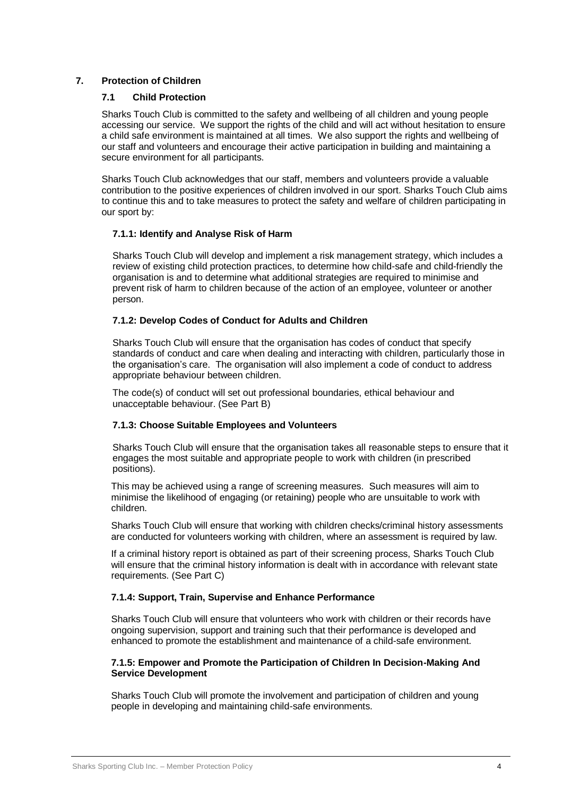#### **7. Protection of Children**

#### **7.1 Child Protection**

Sharks Touch Club is committed to the safety and wellbeing of all children and young people accessing our service. We support the rights of the child and will act without hesitation to ensure a child safe environment is maintained at all times. We also support the rights and wellbeing of our staff and volunteers and encourage their active participation in building and maintaining a secure environment for all participants.

Sharks Touch Club acknowledges that our staff, members and volunteers provide a valuable contribution to the positive experiences of children involved in our sport. Sharks Touch Club aims to continue this and to take measures to protect the safety and welfare of children participating in our sport by:

#### **7.1.1: Identify and Analyse Risk of Harm**

Sharks Touch Club will develop and implement a risk management strategy, which includes a review of existing child protection practices, to determine how child-safe and child-friendly the organisation is and to determine what additional strategies are required to minimise and prevent risk of harm to children because of the action of an employee, volunteer or another person.

#### **7.1.2: Develop Codes of Conduct for Adults and Children**

Sharks Touch Club will ensure that the organisation has codes of conduct that specify standards of conduct and care when dealing and interacting with children, particularly those in the organisation's care. The organisation will also implement a code of conduct to address appropriate behaviour between children.

The code(s) of conduct will set out professional boundaries, ethical behaviour and unacceptable behaviour. (See Part B)

#### **7.1.3: Choose Suitable Employees and Volunteers**

Sharks Touch Club will ensure that the organisation takes all reasonable steps to ensure that it engages the most suitable and appropriate people to work with children (in prescribed positions).

This may be achieved using a range of screening measures. Such measures will aim to minimise the likelihood of engaging (or retaining) people who are unsuitable to work with children.

Sharks Touch Club will ensure that working with children checks/criminal history assessments are conducted for volunteers working with children, where an assessment is required by law.

If a criminal history report is obtained as part of their screening process, Sharks Touch Club will ensure that the criminal history information is dealt with in accordance with relevant state requirements. (See Part C)

#### **7.1.4: Support, Train, Supervise and Enhance Performance**

Sharks Touch Club will ensure that volunteers who work with children or their records have ongoing supervision, support and training such that their performance is developed and enhanced to promote the establishment and maintenance of a child-safe environment.

#### **7.1.5: Empower and Promote the Participation of Children In Decision-Making And Service Development**

Sharks Touch Club will promote the involvement and participation of children and young people in developing and maintaining child-safe environments.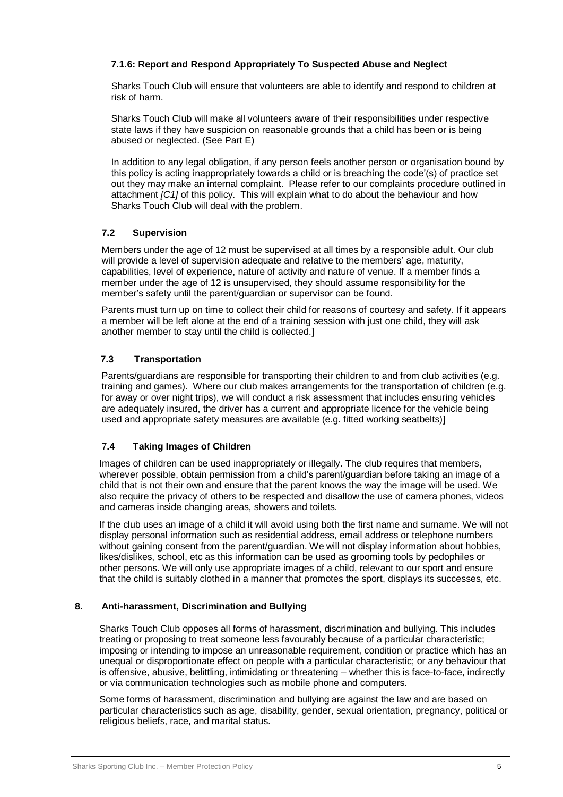#### **7.1.6: Report and Respond Appropriately To Suspected Abuse and Neglect**

Sharks Touch Club will ensure that volunteers are able to identify and respond to children at risk of harm.

Sharks Touch Club will make all volunteers aware of their responsibilities under respective state laws if they have suspicion on reasonable grounds that a child has been or is being abused or neglected. (See Part E)

In addition to any legal obligation, if any person feels another person or organisation bound by this policy is acting inappropriately towards a child or is breaching the code'(s) of practice set out they may make an internal complaint. Please refer to our complaints procedure outlined in attachment *[C1]* of this policy. This will explain what to do about the behaviour and how Sharks Touch Club will deal with the problem.

#### **7.2 Supervision**

Members under the age of 12 must be supervised at all times by a responsible adult. Our club will provide a level of supervision adequate and relative to the members' age, maturity, capabilities, level of experience, nature of activity and nature of venue. If a member finds a member under the age of 12 is unsupervised, they should assume responsibility for the member's safety until the parent/guardian or supervisor can be found.

Parents must turn up on time to collect their child for reasons of courtesy and safety. If it appears a member will be left alone at the end of a training session with just one child, they will ask another member to stay until the child is collected.]

#### **7.3 Transportation**

Parents/guardians are responsible for transporting their children to and from club activities (e.g. training and games). Where our club makes arrangements for the transportation of children (e.g. for away or over night trips), we will conduct a risk assessment that includes ensuring vehicles are adequately insured, the driver has a current and appropriate licence for the vehicle being used and appropriate safety measures are available (e.g. fitted working seatbelts)]

#### 7**.4 Taking Images of Children**

Images of children can be used inappropriately or illegally. The club requires that members, wherever possible, obtain permission from a child's parent/guardian before taking an image of a child that is not their own and ensure that the parent knows the way the image will be used. We also require the privacy of others to be respected and disallow the use of camera phones, videos and cameras inside changing areas, showers and toilets.

If the club uses an image of a child it will avoid using both the first name and surname. We will not display personal information such as residential address, email address or telephone numbers without gaining consent from the parent/guardian. We will not display information about hobbies, likes/dislikes, school, etc as this information can be used as grooming tools by pedophiles or other persons. We will only use appropriate images of a child, relevant to our sport and ensure that the child is suitably clothed in a manner that promotes the sport, displays its successes, etc.

#### **8. Anti-harassment, Discrimination and Bullying**

Sharks Touch Club opposes all forms of harassment, discrimination and bullying. This includes treating or proposing to treat someone less favourably because of a particular characteristic; imposing or intending to impose an unreasonable requirement, condition or practice which has an unequal or disproportionate effect on people with a particular characteristic; or any behaviour that is offensive, abusive, belittling, intimidating or threatening – whether this is face-to-face, indirectly or via communication technologies such as mobile phone and computers.

Some forms of harassment, discrimination and bullying are against the law and are based on particular characteristics such as age, disability, gender, sexual orientation, pregnancy, political or religious beliefs, race, and marital status.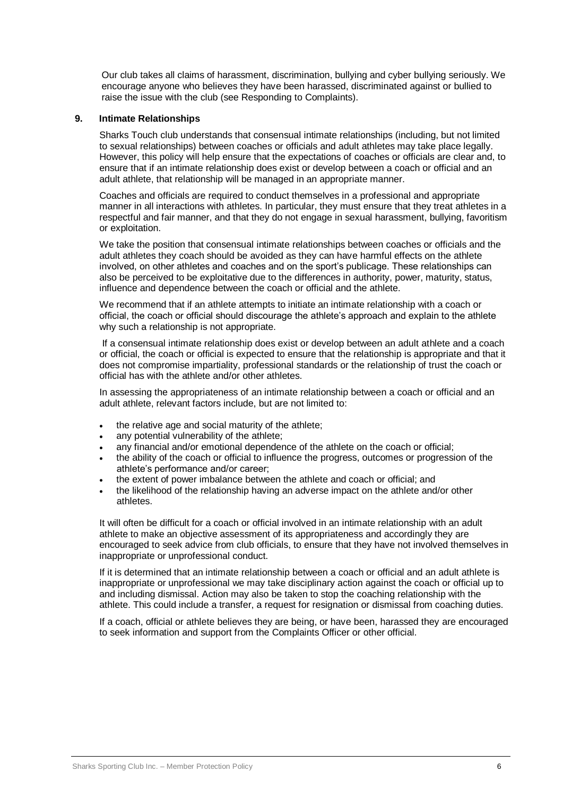Our club takes all claims of harassment, discrimination, bullying and cyber bullying seriously. We encourage anyone who believes they have been harassed, discriminated against or bullied to raise the issue with the club (see Responding to Complaints).

#### **9. Intimate Relationships**

Sharks Touch club understands that consensual intimate relationships (including, but not limited to sexual relationships) between coaches or officials and adult athletes may take place legally. However, this policy will help ensure that the expectations of coaches or officials are clear and, to ensure that if an intimate relationship does exist or develop between a coach or official and an adult athlete, that relationship will be managed in an appropriate manner.

Coaches and officials are required to conduct themselves in a professional and appropriate manner in all interactions with athletes. In particular, they must ensure that they treat athletes in a respectful and fair manner, and that they do not engage in sexual harassment, bullying, favoritism or exploitation.

We take the position that consensual intimate relationships between coaches or officials and the adult athletes they coach should be avoided as they can have harmful effects on the athlete involved, on other athletes and coaches and on the sport's publicage. These relationships can also be perceived to be exploitative due to the differences in authority, power, maturity, status, influence and dependence between the coach or official and the athlete.

We recommend that if an athlete attempts to initiate an intimate relationship with a coach or official, the coach or official should discourage the athlete's approach and explain to the athlete why such a relationship is not appropriate.

If a consensual intimate relationship does exist or develop between an adult athlete and a coach or official, the coach or official is expected to ensure that the relationship is appropriate and that it does not compromise impartiality, professional standards or the relationship of trust the coach or official has with the athlete and/or other athletes.

In assessing the appropriateness of an intimate relationship between a coach or official and an adult athlete, relevant factors include, but are not limited to:

- the relative age and social maturity of the athlete;
- any potential vulnerability of the athlete;
- any financial and/or emotional dependence of the athlete on the coach or official;
- the ability of the coach or official to influence the progress, outcomes or progression of the athlete's performance and/or career;
- the extent of power imbalance between the athlete and coach or official; and
- the likelihood of the relationship having an adverse impact on the athlete and/or other athletes.

It will often be difficult for a coach or official involved in an intimate relationship with an adult athlete to make an objective assessment of its appropriateness and accordingly they are encouraged to seek advice from club officials, to ensure that they have not involved themselves in inappropriate or unprofessional conduct.

If it is determined that an intimate relationship between a coach or official and an adult athlete is inappropriate or unprofessional we may take disciplinary action against the coach or official up to and including dismissal. Action may also be taken to stop the coaching relationship with the athlete. This could include a transfer, a request for resignation or dismissal from coaching duties.

If a coach, official or athlete believes they are being, or have been, harassed they are encouraged to seek information and support from the Complaints Officer or other official.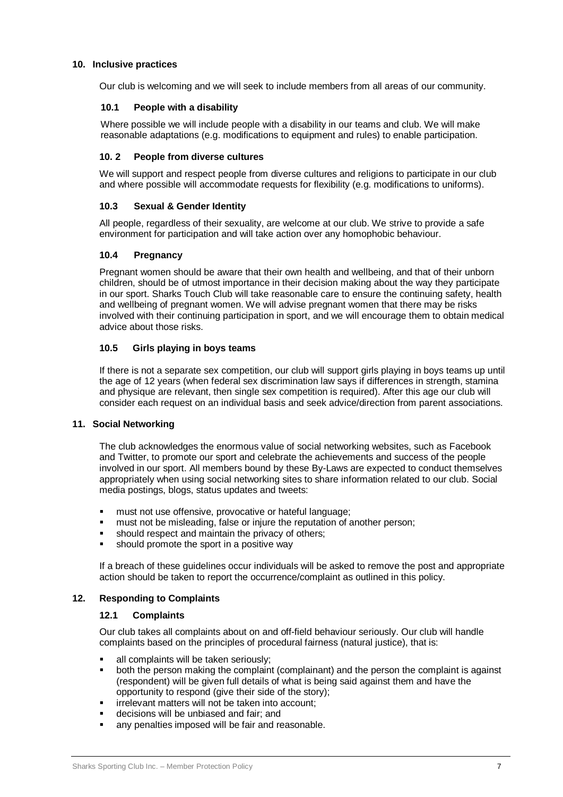#### **10. Inclusive practices**

Our club is welcoming and we will seek to include members from all areas of our community.

#### **10.1 People with a disability**

Where possible we will include people with a disability in our teams and club. We will make reasonable adaptations (e.g. modifications to equipment and rules) to enable participation.

#### **10. 2 People from diverse cultures**

We will support and respect people from diverse cultures and religions to participate in our club and where possible will accommodate requests for flexibility (e.g. modifications to uniforms).

#### **10.3 Sexual & Gender Identity**

All people, regardless of their sexuality, are welcome at our club. We strive to provide a safe environment for participation and will take action over any homophobic behaviour.

#### **10.4 Pregnancy**

Pregnant women should be aware that their own health and wellbeing, and that of their unborn children, should be of utmost importance in their decision making about the way they participate in our sport. Sharks Touch Club will take reasonable care to ensure the continuing safety, health and wellbeing of pregnant women. We will advise pregnant women that there may be risks involved with their continuing participation in sport, and we will encourage them to obtain medical advice about those risks.

#### **10.5 Girls playing in boys teams**

If there is not a separate sex competition, our club will support girls playing in boys teams up until the age of 12 years (when federal sex discrimination law says if differences in strength, stamina and physique are relevant, then single sex competition is required). After this age our club will consider each request on an individual basis and seek advice/direction from parent associations.

#### **11. Social Networking**

The club acknowledges the enormous value of social networking websites, such as Facebook and Twitter, to promote our sport and celebrate the achievements and success of the people involved in our sport. All members bound by these By-Laws are expected to conduct themselves appropriately when using social networking sites to share information related to our club. Social media postings, blogs, status updates and tweets:

- **nata in** must not use offensive, provocative or hateful language;
- **nust not be misleading, false or injure the reputation of another person;**
- should respect and maintain the privacy of others;
- **should promote the sport in a positive way**

If a breach of these guidelines occur individuals will be asked to remove the post and appropriate action should be taken to report the occurrence/complaint as outlined in this policy.

#### **12. Responding to Complaints**

#### **12.1 Complaints**

Our club takes all complaints about on and off-field behaviour seriously. Our club will handle complaints based on the principles of procedural fairness (natural justice), that is:

- all complaints will be taken seriously;
- both the person making the complaint (complainant) and the person the complaint is against (respondent) will be given full details of what is being said against them and have the opportunity to respond (give their side of the story);
- **F** irrelevant matters will not be taken into account;
- decisions will be unbiased and fair; and
- **any penalties imposed will be fair and reasonable.**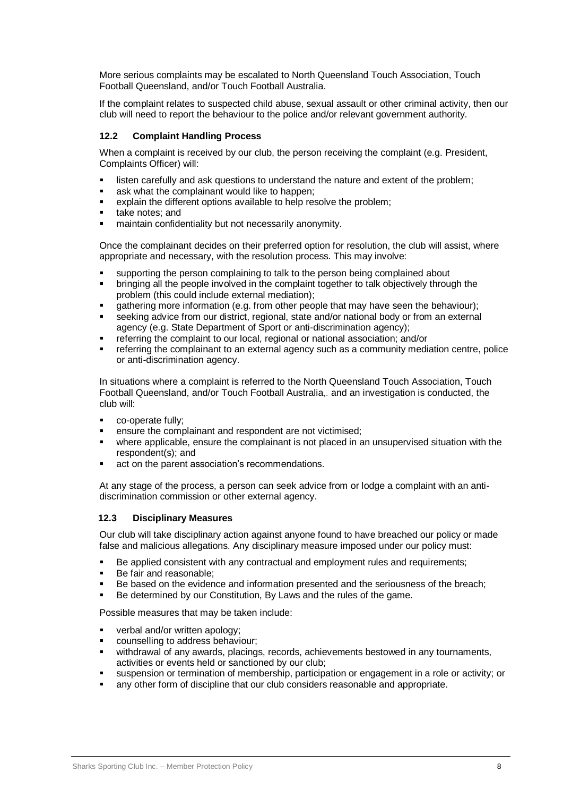More serious complaints may be escalated to North Queensland Touch Association, Touch Football Queensland, and/or Touch Football Australia.

If the complaint relates to suspected child abuse, sexual assault or other criminal activity, then our club will need to report the behaviour to the police and/or relevant government authority.

#### **12.2 Complaint Handling Process**

When a complaint is received by our club, the person receiving the complaint (e.g. President, Complaints Officer) will:

- **EXECT** listen carefully and ask questions to understand the nature and extent of the problem;
- **ask what the complainant would like to happen;**
- explain the different options available to help resolve the problem;
- take notes; and
- maintain confidentiality but not necessarily anonymity.

Once the complainant decides on their preferred option for resolution, the club will assist, where appropriate and necessary, with the resolution process. This may involve:

- supporting the person complaining to talk to the person being complained about
- bringing all the people involved in the complaint together to talk objectively through the problem (this could include external mediation);
- gathering more information (e.g. from other people that may have seen the behaviour);
- seeking advice from our district, regional, state and/or national body or from an external agency (e.g. State Department of Sport or anti-discrimination agency);
- FREE THE COMPLAINT TO COMPONE THE COMPLAINT THE COMPLAINT COMPLAINT THE COMPLAINT THE COMPLAINT THAT THE COMPLAINT THAT THE COMPLAINT THAT THE COMPLAINT THAT THE COMPLAINT THAT THE COMPLAINT THAT THE COMPLAINT THAT THE COM
- referring the complainant to an external agency such as a community mediation centre, police or anti-discrimination agency.

In situations where a complaint is referred to the North Queensland Touch Association, Touch Football Queensland, and/or Touch Football Australia,*.* and an investigation is conducted, the club will:

- co-operate fully;
- ensure the complainant and respondent are not victimised;
- where applicable, ensure the complainant is not placed in an unsupervised situation with the respondent(s); and
- **act on the parent association's recommendations.**

At any stage of the process, a person can seek advice from or lodge a complaint with an antidiscrimination commission or other external agency.

#### **12.3 Disciplinary Measures**

Our club will take disciplinary action against anyone found to have breached our policy or made false and malicious allegations. Any disciplinary measure imposed under our policy must:

- Be applied consistent with any contractual and employment rules and requirements;
- Be fair and reasonable;
- Be based on the evidence and information presented and the seriousness of the breach;
- Be determined by our Constitution, By Laws and the rules of the game.

Possible measures that may be taken include:

- verbal and/or written apology;
- counselling to address behaviour;
- withdrawal of any awards, placings, records, achievements bestowed in any tournaments, activities or events held or sanctioned by our club;
- suspension or termination of membership, participation or engagement in a role or activity; or
- any other form of discipline that our club considers reasonable and appropriate.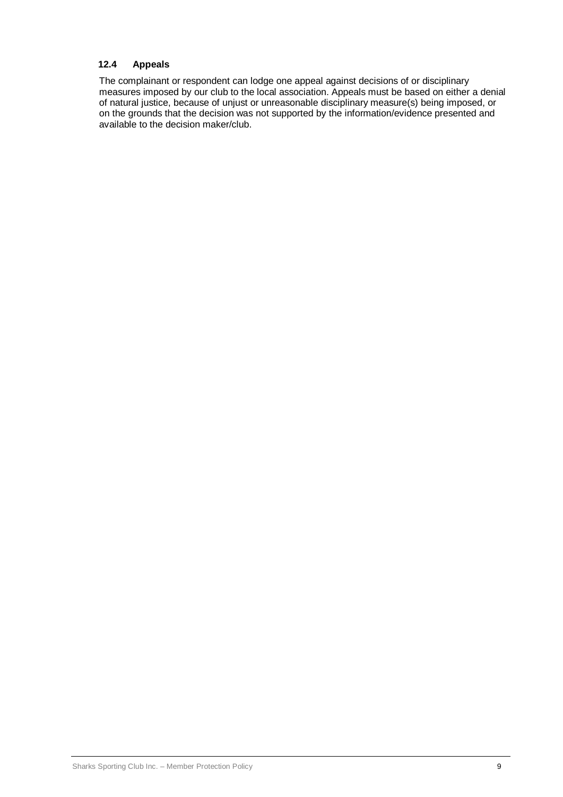#### **12.4 Appeals**

The complainant or respondent can lodge one appeal against decisions of or disciplinary measures imposed by our club to the local association. Appeals must be based on either a denial of natural justice, because of unjust or unreasonable disciplinary measure(s) being imposed, or on the grounds that the decision was not supported by the information/evidence presented and available to the decision maker/club.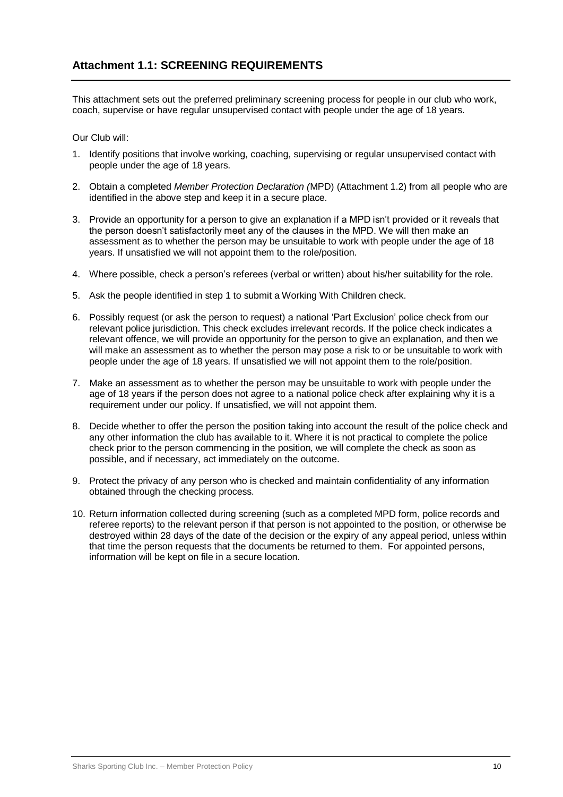This attachment sets out the preferred preliminary screening process for people in our club who work, coach, supervise or have regular unsupervised contact with people under the age of 18 years.

Our Club will:

- 1. Identify positions that involve working, coaching, supervising or regular unsupervised contact with people under the age of 18 years.
- 2. Obtain a completed *Member Protection Declaration (*MPD) (Attachment 1.2) from all people who are identified in the above step and keep it in a secure place.
- 3. Provide an opportunity for a person to give an explanation if a MPD isn't provided or it reveals that the person doesn't satisfactorily meet any of the clauses in the MPD. We will then make an assessment as to whether the person may be unsuitable to work with people under the age of 18 years. If unsatisfied we will not appoint them to the role/position.
- 4. Where possible, check a person's referees (verbal or written) about his/her suitability for the role.
- 5. Ask the people identified in step 1 to submit a Working With Children check.
- 6. Possibly request (or ask the person to request) a national 'Part Exclusion' police check from our relevant police jurisdiction. This check excludes irrelevant records. If the police check indicates a relevant offence, we will provide an opportunity for the person to give an explanation, and then we will make an assessment as to whether the person may pose a risk to or be unsuitable to work with people under the age of 18 years. If unsatisfied we will not appoint them to the role/position.
- 7. Make an assessment as to whether the person may be unsuitable to work with people under the age of 18 years if the person does not agree to a national police check after explaining why it is a requirement under our policy. If unsatisfied, we will not appoint them.
- 8. Decide whether to offer the person the position taking into account the result of the police check and any other information the club has available to it. Where it is not practical to complete the police check prior to the person commencing in the position, we will complete the check as soon as possible, and if necessary, act immediately on the outcome.
- 9. Protect the privacy of any person who is checked and maintain confidentiality of any information obtained through the checking process.
- 10. Return information collected during screening (such as a completed MPD form, police records and referee reports) to the relevant person if that person is not appointed to the position, or otherwise be destroyed within 28 days of the date of the decision or the expiry of any appeal period, unless within that time the person requests that the documents be returned to them. For appointed persons, information will be kept on file in a secure location.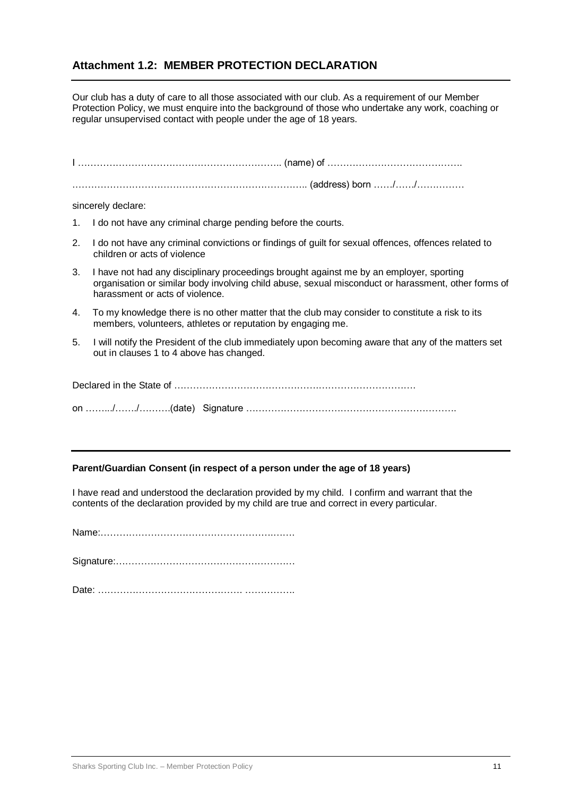### **Attachment 1.2: MEMBER PROTECTION DECLARATION**

Our club has a duty of care to all those associated with our club. As a requirement of our Member Protection Policy, we must enquire into the background of those who undertake any work, coaching or regular unsupervised contact with people under the age of 18 years.

|    | sincerely declare:                                                                                                                                                                                                                |  |  |  |  |
|----|-----------------------------------------------------------------------------------------------------------------------------------------------------------------------------------------------------------------------------------|--|--|--|--|
|    | 1. I do not have any criminal charge pending before the courts.                                                                                                                                                                   |  |  |  |  |
| 2. | I do not have any criminal convictions or findings of guilt for sexual offences, offences related to<br>children or acts of violence                                                                                              |  |  |  |  |
| 3. | I have not had any disciplinary proceedings brought against me by an employer, sporting<br>organisation or similar body involving child abuse, sexual misconduct or harassment, other forms of<br>harassment or acts of violence. |  |  |  |  |
| 4. | To my knowledge there is no other matter that the club may consider to constitute a risk to its<br>members, volunteers, athletes or reputation by engaging me.                                                                    |  |  |  |  |
| 5. | I will notify the President of the club immediately upon becoming aware that any of the matters set<br>out in clauses 1 to 4 above has changed.                                                                                   |  |  |  |  |
|    |                                                                                                                                                                                                                                   |  |  |  |  |
|    |                                                                                                                                                                                                                                   |  |  |  |  |

#### **Parent/Guardian Consent (in respect of a person under the age of 18 years)**

I have read and understood the declaration provided by my child. I confirm and warrant that the contents of the declaration provided by my child are true and correct in every particular.

Name:……………………………………………….…….

Signature:…………………………………………………

Date: ………………………………………. …………….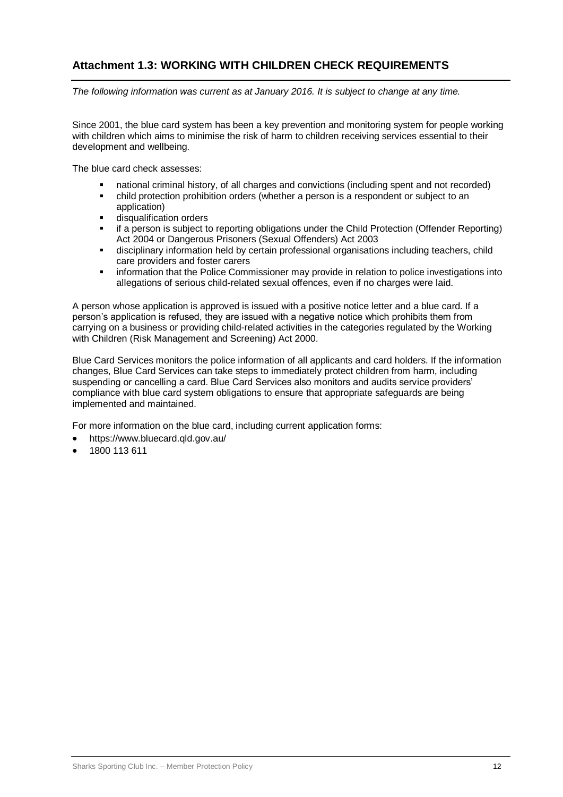## **Attachment 1.3: WORKING WITH CHILDREN CHECK REQUIREMENTS**

*The following information was current as at January 2016. It is subject to change at any time.*

Since 2001, the blue card system has been a key prevention and monitoring system for people working with children which aims to minimise the risk of harm to children receiving services essential to their development and wellbeing.

The blue card check assesses:

- national criminal history, of all charges and convictions (including spent and not recorded)
- child protection prohibition orders (whether a person is a respondent or subject to an application)
- disqualification orders
- if a person is subject to reporting obligations under the Child Protection (Offender Reporting) Act 2004 or Dangerous Prisoners (Sexual Offenders) Act 2003
- disciplinary information held by certain professional organisations including teachers, child care providers and foster carers
- **EXEDENT** information that the Police Commissioner may provide in relation to police investigations into allegations of serious child-related sexual offences, even if no charges were laid.

A person whose application is approved is issued with a positive notice letter and a blue card. If a person's application is refused, they are issued with a negative notice which prohibits them from carrying on a business or providing child-related activities in the categories regulated by the Working with Children (Risk Management and Screening) Act 2000.

Blue Card Services monitors the police information of all applicants and card holders. If the information changes, Blue Card Services can take steps to immediately protect children from harm, including suspending or cancelling a card. Blue Card Services also monitors and audits service providers' compliance with blue card system obligations to ensure that appropriate safeguards are being implemented and maintained.

For more information on the blue card, including current application forms:

- <https://www.bluecard.qld.gov.au/>
- 1800 113 611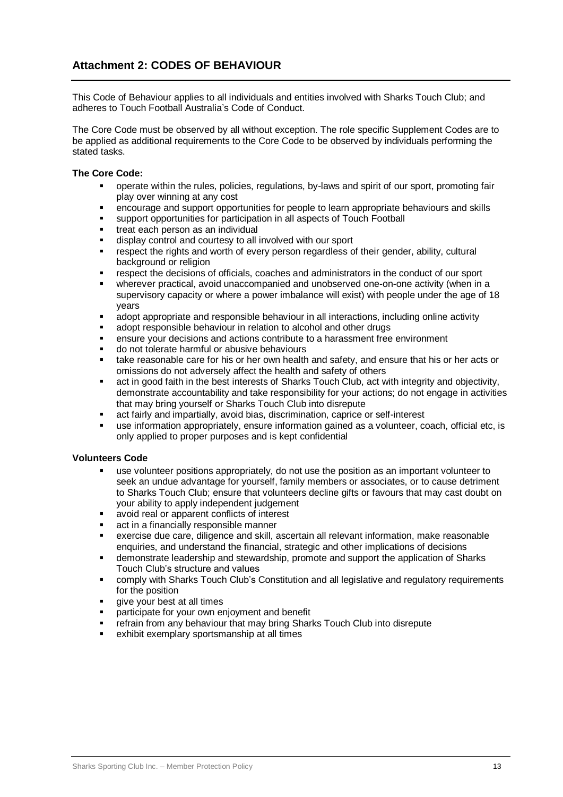### **Attachment 2: CODES OF BEHAVIOUR**

This Code of Behaviour applies to all individuals and entities involved with Sharks Touch Club; and adheres to Touch Football Australia's Code of Conduct.

The Core Code must be observed by all without exception. The role specific Supplement Codes are to be applied as additional requirements to the Core Code to be observed by individuals performing the stated tasks.

#### **The Core Code:**

- operate within the rules, policies, regulations, by-laws and spirit of our sport, promoting fair play over winning at any cost
- encourage and support opportunities for people to learn appropriate behaviours and skills
- support opportunities for participation in all aspects of Touch Football
- **treat each person as an individual**
- display control and courtesy to all involved with our sport
- respect the rights and worth of every person regardless of their gender, ability, cultural background or religion
- respect the decisions of officials, coaches and administrators in the conduct of our sport
- wherever practical, avoid unaccompanied and unobserved one-on-one activity (when in a supervisory capacity or where a power imbalance will exist) with people under the age of 18 years
- adopt appropriate and responsible behaviour in all interactions, including online activity
- adopt responsible behaviour in relation to alcohol and other drugs
- ensure your decisions and actions contribute to a harassment free environment
- do not tolerate harmful or abusive behaviours
- **take reasonable care for his or her own health and safety, and ensure that his or her acts or** omissions do not adversely affect the health and safety of others
- act in good faith in the best interests of Sharks Touch Club, act with integrity and objectivity, demonstrate accountability and take responsibility for your actions; do not engage in activities that may bring yourself or Sharks Touch Club into disrepute
- act fairly and impartially, avoid bias, discrimination, caprice or self-interest
- use information appropriately, ensure information gained as a volunteer, coach, official etc, is only applied to proper purposes and is kept confidential

#### **Volunteers Code**

- use volunteer positions appropriately, do not use the position as an important volunteer to seek an undue advantage for yourself, family members or associates, or to cause detriment to Sharks Touch Club; ensure that volunteers decline gifts or favours that may cast doubt on your ability to apply independent judgement
- avoid real or apparent conflicts of interest
- **act in a financially responsible manner**
- exercise due care, diligence and skill, ascertain all relevant information, make reasonable enquiries, and understand the financial, strategic and other implications of decisions
- demonstrate leadership and stewardship, promote and support the application of Sharks Touch Club's structure and values
- comply with Sharks Touch Club's Constitution and all legislative and regulatory requirements for the position
- give your best at all times
- participate for your own enjoyment and benefit
- **FREE 19 FREE 19 FEE 15 FREE 15 FREE 15 FREE 15 FREE 15 FREE 15 FREE 15 FREE 15 FREE 15 FREE 15 FREE 15 FREE 15 FREE 15 FREE 15 FREE 15 FREE 15 FREE 15 FREE 15 FREE 15 FREE 15 FREE 15 FREE 15 FREE 15 FREE 15 FREE 15 FREE 1**
- exhibit exemplary sportsmanship at all times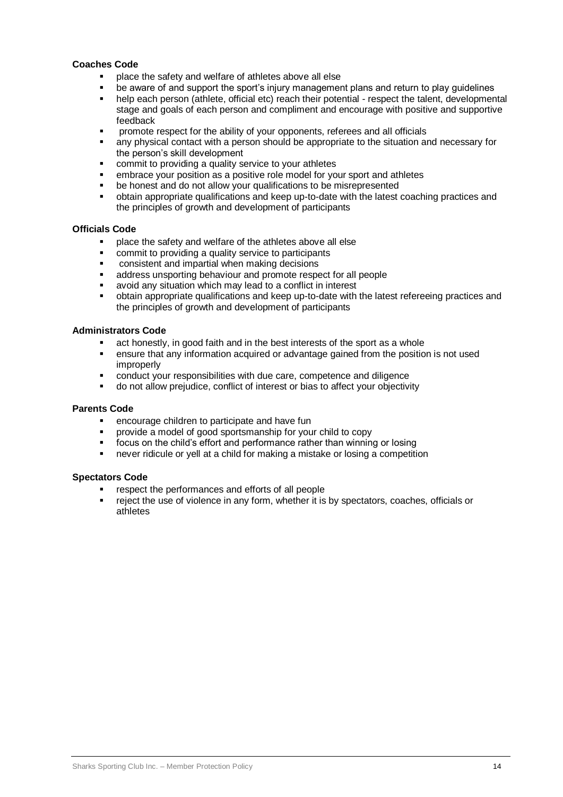#### **Coaches Code**

- place the safety and welfare of athletes above all else
- be aware of and support the sport's injury management plans and return to play guidelines
- help each person (athlete, official etc) reach their potential respect the talent, developmental stage and goals of each person and compliment and encourage with positive and supportive feedback
- promote respect for the ability of your opponents, referees and all officials
- any physical contact with a person should be appropriate to the situation and necessary for the person's skill development
- commit to providing a quality service to your athletes
- embrace your position as a positive role model for your sport and athletes
- be honest and do not allow your qualifications to be misrepresented
- obtain appropriate qualifications and keep up-to-date with the latest coaching practices and the principles of growth and development of participants

#### **Officials Code**

- place the safety and welfare of the athletes above all else
- commit to providing a quality service to participants
- **EXECONS** consistent and impartial when making decisions
- address unsporting behaviour and promote respect for all people
- avoid any situation which may lead to a conflict in interest
- obtain appropriate qualifications and keep up-to-date with the latest refereeing practices and the principles of growth and development of participants

#### **Administrators Code**

- act honestly, in good faith and in the best interests of the sport as a whole
- ensure that any information acquired or advantage gained from the position is not used improperly
- conduct your responsibilities with due care, competence and diligence
- do not allow prejudice, conflict of interest or bias to affect your objectivity

#### **Parents Code**

- **EXECOUTAGE CHILD EXECOUTE:** encourage children to participate and have fun
- provide a model of good sportsmanship for your child to copy
- **ficus on the child's effort and performance rather than winning or losing**
- never ridicule or yell at a child for making a mistake or losing a competition

#### **Spectators Code**

- respect the performances and efforts of all people
- reject the use of violence in any form, whether it is by spectators, coaches, officials or athletes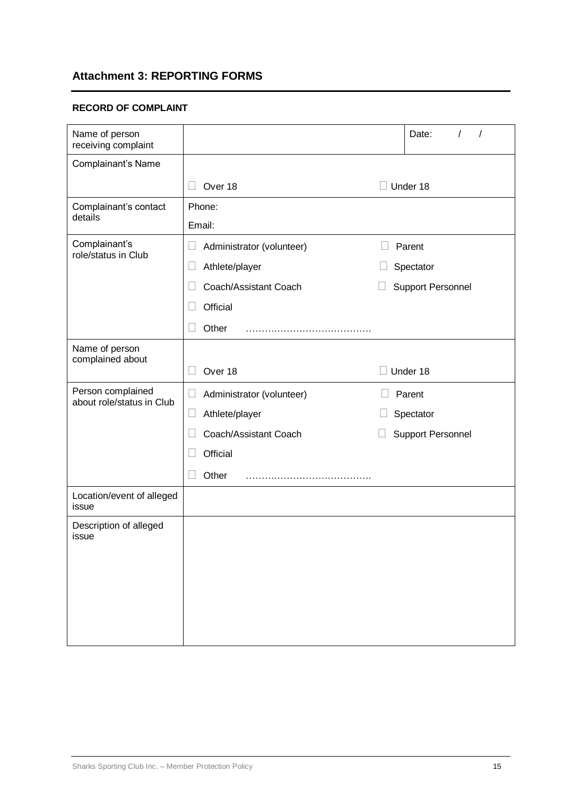## **Attachment 3: REPORTING FORMS**

#### **RECORD OF COMPLAINT**

| Name of person<br>receiving complaint          |                                     |                          | Date:<br>T<br>$\prime$   |  |  |  |
|------------------------------------------------|-------------------------------------|--------------------------|--------------------------|--|--|--|
| Complainant's Name                             |                                     |                          |                          |  |  |  |
|                                                | Over 18<br>$\Box$                   |                          | $\Box$ Under 18          |  |  |  |
| Complainant's contact                          | Phone:                              |                          |                          |  |  |  |
| details                                        | Email:                              |                          |                          |  |  |  |
| Complainant's<br>role/status in Club           | Administrator (volunteer)<br>$\Box$ |                          | Parent                   |  |  |  |
|                                                | Athlete/player<br>$\Box$            |                          | Spectator                |  |  |  |
|                                                | Coach/Assistant Coach               |                          | <b>Support Personnel</b> |  |  |  |
|                                                | Official                            |                          |                          |  |  |  |
|                                                | Other                               |                          |                          |  |  |  |
| Name of person<br>complained about             |                                     |                          |                          |  |  |  |
|                                                | Over 18<br>$\Box$                   |                          | Under 18                 |  |  |  |
| Person complained<br>about role/status in Club | Administrator (volunteer)<br>⊔      |                          | Parent                   |  |  |  |
|                                                | $\Box$<br>Athlete/player            |                          | Spectator                |  |  |  |
|                                                | Coach/Assistant Coach               | <b>Support Personnel</b> |                          |  |  |  |
|                                                | Official<br>$\Box$                  |                          |                          |  |  |  |
|                                                | Other                               |                          |                          |  |  |  |
| Location/event of alleged<br>issue             |                                     |                          |                          |  |  |  |
| Description of alleged<br>issue                |                                     |                          |                          |  |  |  |
|                                                |                                     |                          |                          |  |  |  |
|                                                |                                     |                          |                          |  |  |  |
|                                                |                                     |                          |                          |  |  |  |
|                                                |                                     |                          |                          |  |  |  |
|                                                |                                     |                          |                          |  |  |  |